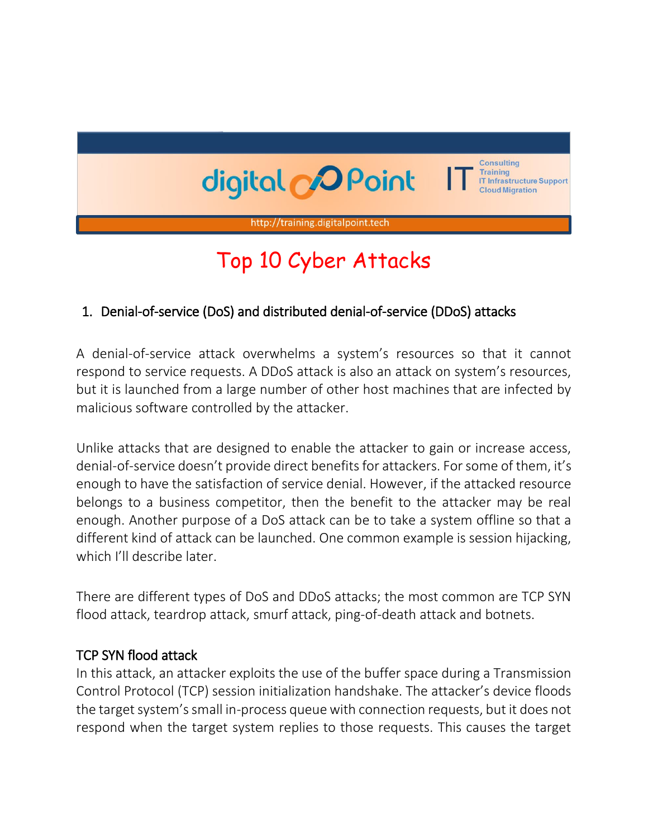# digital *O*Point

**Consulting Training IT Infrastructure Support oud Migration** 

http://training.digitalpoint.tecl

# Top 10 Cyber Attacks

# 1. Denial-of-service (DoS) and distributed denial-of-service (DDoS) attacks

A denial-of-service attack overwhelms a system's resources so that it cannot respond to service requests. A DDoS attack is also an attack on system's resources, but it is launched from a large number of other host machines that are infected by malicious software controlled by the attacker.

Unlike attacks that are designed to enable the attacker to gain or increase access, denial-of-service doesn't provide direct benefits for attackers. For some of them, it's enough to have the satisfaction of service denial. However, if the attacked resource belongs to a business competitor, then the benefit to the attacker may be real enough. Another purpose of a DoS attack can be to take a system offline so that a different kind of attack can be launched. One common example is session hijacking, which I'll describe later.

There are different types of DoS and DDoS attacks; the most common are TCP SYN flood attack, teardrop attack, smurf attack, ping-of-death attack and botnets.

# TCP SYN flood attack

In this attack, an attacker exploits the use of the buffer space during a Transmission Control Protocol (TCP) session initialization handshake. The attacker's device floods the target system's small in-process queue with connection requests, but it does not respond when the target system replies to those requests. This causes the target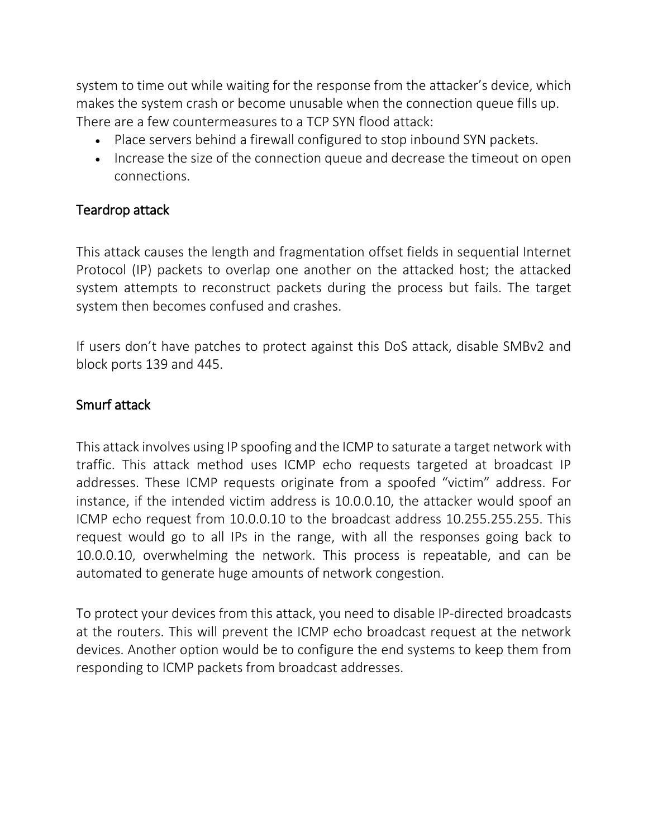system to time out while waiting for the response from the attacker's device, which makes the system crash or become unusable when the connection queue fills up. There are a few countermeasures to a TCP SYN flood attack:

- Place servers behind a firewall configured to stop inbound SYN packets.
- Increase the size of the connection queue and decrease the timeout on open connections.

#### Teardrop attack

This attack causes the length and fragmentation offset fields in sequential Internet Protocol (IP) packets to overlap one another on the attacked host; the attacked system attempts to reconstruct packets during the process but fails. The target system then becomes confused and crashes.

If users don't have patches to protect against this DoS attack, disable SMBv2 and block ports 139 and 445.

#### Smurf attack

This attack involves using IP spoofing and the ICMP to saturate a target network with traffic. This attack method uses ICMP echo requests targeted at broadcast IP addresses. These ICMP requests originate from a spoofed "victim" address. For instance, if the intended victim address is 10.0.0.10, the attacker would spoof an ICMP echo request from 10.0.0.10 to the broadcast address 10.255.255.255. This request would go to all IPs in the range, with all the responses going back to 10.0.0.10, overwhelming the network. This process is repeatable, and can be automated to generate huge amounts of network congestion.

To protect your devices from this attack, you need to disable IP-directed broadcasts at the routers. This will prevent the ICMP echo broadcast request at the network devices. Another option would be to configure the end systems to keep them from responding to ICMP packets from broadcast addresses.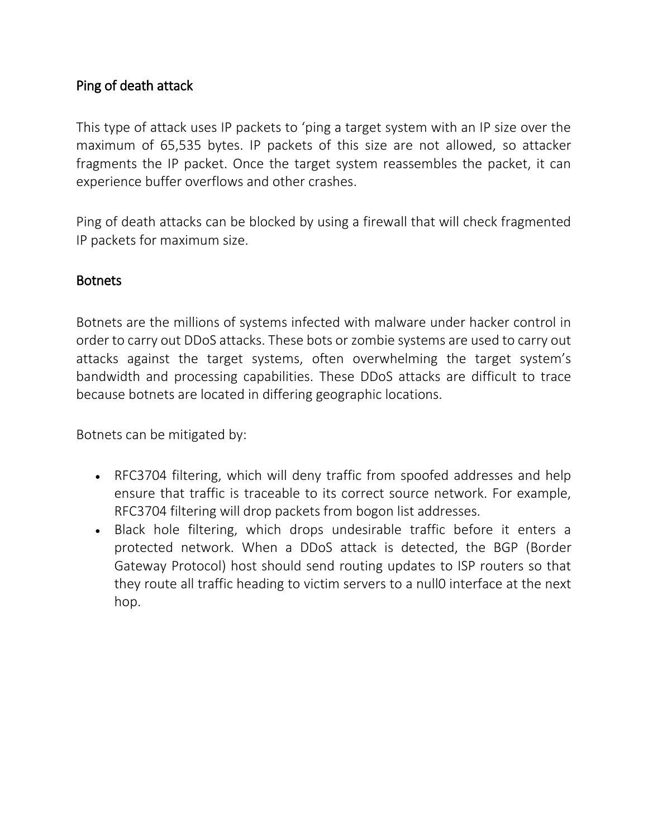# Ping of death attack

This type of attack uses IP packets to 'ping a target system with an IP size over the maximum of 65,535 bytes. IP packets of this size are not allowed, so attacker fragments the IP packet. Once the target system reassembles the packet, it can experience buffer overflows and other crashes.

Ping of death attacks can be blocked by using a firewall that will check fragmented IP packets for maximum size.

#### **Botnets**

Botnets are the millions of systems infected with malware under hacker control in order to carry out DDoS attacks. These bots or zombie systems are used to carry out attacks against the target systems, often overwhelming the target system's bandwidth and processing capabilities. These DDoS attacks are difficult to trace because botnets are located in differing geographic locations.

Botnets can be mitigated by:

- RFC3704 filtering, which will deny traffic from spoofed addresses and help ensure that traffic is traceable to its correct source network. For example, RFC3704 filtering will drop packets from bogon list addresses.
- Black hole filtering, which drops undesirable traffic before it enters a protected network. When a DDoS attack is detected, the BGP (Border Gateway Protocol) host should send routing updates to ISP routers so that they route all traffic heading to victim servers to a null0 interface at the next hop.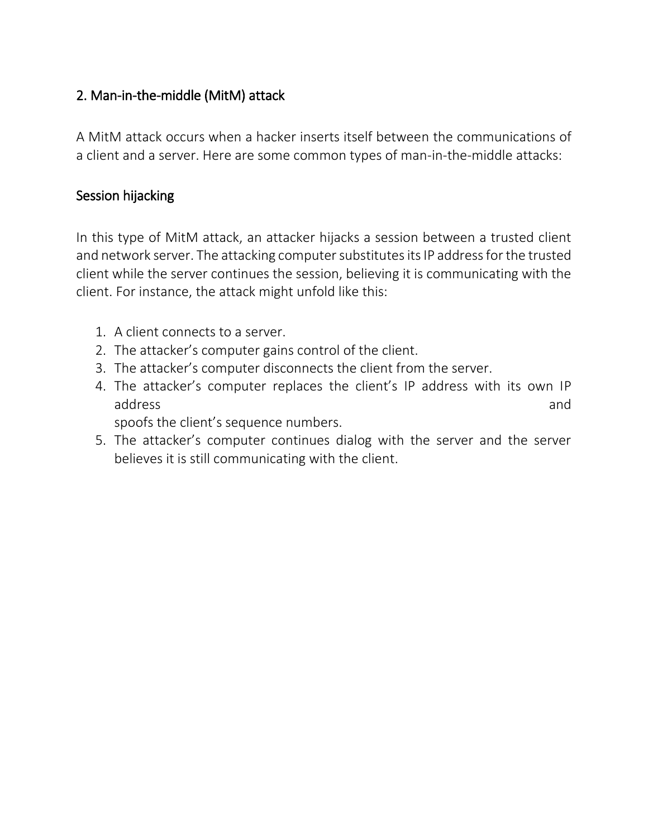# 2. Man-in-the-middle (MitM) attack

A MitM attack occurs when a hacker inserts itself between the communications of a client and a server. Here are some common types of man-in-the-middle attacks:

# Session hijacking

In this type of MitM attack, an attacker hijacks a session between a trusted client and network server. The attacking computer substitutes its IP address for the trusted client while the server continues the session, believing it is communicating with the client. For instance, the attack might unfold like this:

- 1. A client connects to a server.
- 2. The attacker's computer gains control of the client.
- 3. The attacker's computer disconnects the client from the server.
- 4. The attacker's computer replaces the client's IP address with its own IP address and

spoofs the client's sequence numbers.

5. The attacker's computer continues dialog with the server and the server believes it is still communicating with the client.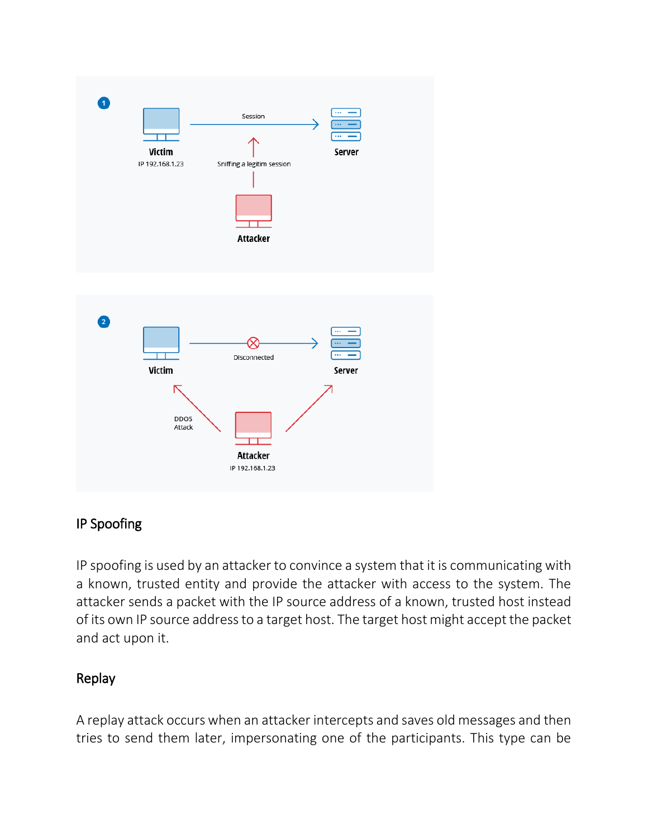

# IP Spoofing

IP spoofing is used by an attacker to convince a system that it is communicating with a known, trusted entity and provide the attacker with access to the system. The attacker sends a packet with the IP source address of a known, trusted host instead of its own IP source address to a target host. The target host might accept the packet and act upon it.

#### Replay

A replay attack occurs when an attacker intercepts and saves old messages and then tries to send them later, impersonating one of the participants. This type can be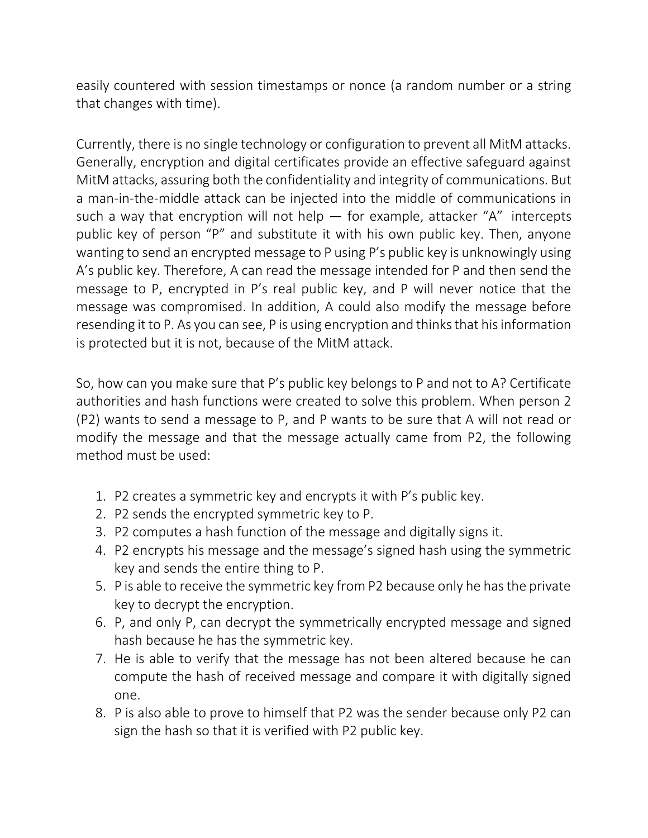easily countered with session timestamps or nonce (a random number or a string that changes with time).

Currently, there is no single technology or configuration to prevent all MitM attacks. Generally, encryption and digital certificates provide an effective safeguard against MitM attacks, assuring both the confidentiality and integrity of communications. But a man-in-the-middle attack can be injected into the middle of communications in such a way that encryption will not help  $-$  for example, attacker "A" intercepts public key of person "P" and substitute it with his own public key. Then, anyone wanting to send an encrypted message to P using P's public key is unknowingly using A's public key. Therefore, A can read the message intended for P and then send the message to P, encrypted in P's real public key, and P will never notice that the message was compromised. In addition, A could also modify the message before resending it to P. As you can see, P is using encryption and thinks that his information is protected but it is not, because of the MitM attack.

So, how can you make sure that P's public key belongs to P and not to A? Certificate authorities and hash functions were created to solve this problem. When person 2 (P2) wants to send a message to P, and P wants to be sure that A will not read or modify the message and that the message actually came from P2, the following method must be used:

- 1. P2 creates a symmetric key and encrypts it with P's public key.
- 2. P2 sends the encrypted symmetric key to P.
- 3. P2 computes a hash function of the message and digitally signs it.
- 4. P2 encrypts his message and the message's signed hash using the symmetric key and sends the entire thing to P.
- 5. P is able to receive the symmetric key from P2 because only he has the private key to decrypt the encryption.
- 6. P, and only P, can decrypt the symmetrically encrypted message and signed hash because he has the symmetric key.
- 7. He is able to verify that the message has not been altered because he can compute the hash of received message and compare it with digitally signed one.
- 8. P is also able to prove to himself that P2 was the sender because only P2 can sign the hash so that it is verified with P2 public key.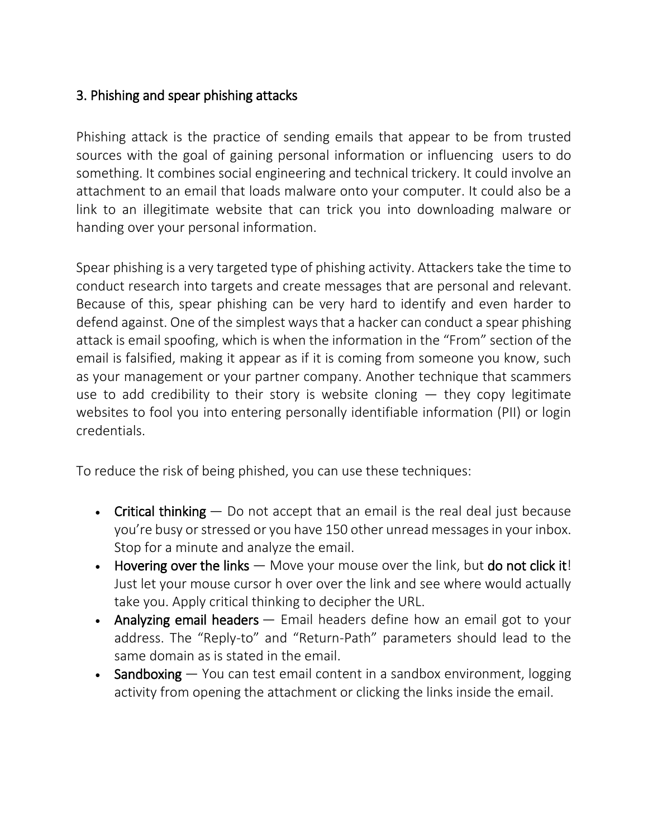# 3. Phishing and spear phishing attacks

Phishing attack is the practice of sending emails that appear to be from trusted sources with the goal of gaining personal information or influencing users to do something. It combines social engineering and technical trickery. It could involve an attachment to an email that loads malware onto your computer. It could also be a link to an illegitimate website that can trick you into downloading malware or handing over your personal information.

Spear phishing is a very targeted type of phishing activity. Attackers take the time to conduct research into targets and create messages that are personal and relevant. Because of this, spear phishing can be very hard to identify and even harder to defend against. One of the simplest ways that a hacker can conduct a spear phishing attack is email spoofing, which is when the information in the "From" section of the email is falsified, making it appear as if it is coming from someone you know, such as your management or your partner company. Another technique that scammers use to add credibility to their story is website cloning  $-$  they copy legitimate websites to fool you into entering personally identifiable information (PII) or login credentials.

To reduce the risk of being phished, you can use these techniques:

- **Critical thinking**  $-$  Do not accept that an email is the real deal just because you're busy or stressed or you have 150 other unread messages in your inbox. Stop for a minute and analyze the email.
- **Hovering over the links**  $-$  Move your mouse over the link, but **do not click it!** Just let your mouse cursor h over over the link and see where would actually take you. Apply critical thinking to decipher the URL.
- Analyzing email headers Email headers define how an email got to your address. The "Reply-to" and "Return-Path" parameters should lead to the same domain as is stated in the email.
- Sandboxing  $-$  You can test email content in a sandbox environment, logging activity from opening the attachment or clicking the links inside the email.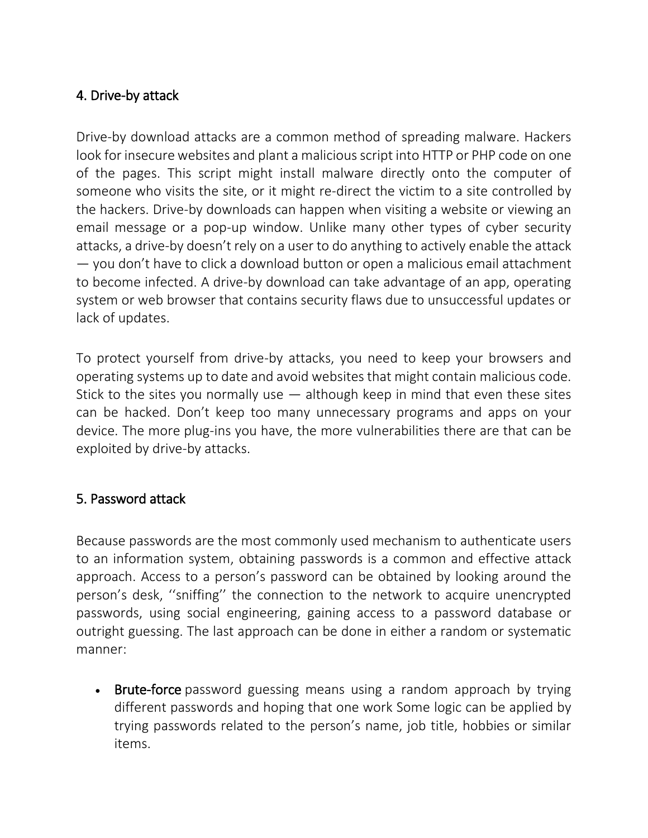# 4. Drive-by attack

Drive-by download attacks are a common method of spreading malware. Hackers look for insecure websites and plant a malicious script into HTTP or PHP code on one of the pages. This script might install malware directly onto the computer of someone who visits the site, or it might re-direct the victim to a site controlled by the hackers. Drive-by downloads can happen when visiting a website or viewing an email message or a pop-up window. Unlike many other types of cyber security attacks, a drive-by doesn't rely on a user to do anything to actively enable the attack — you don't have to click a download button or open a malicious email attachment to become infected. A drive-by download can take advantage of an app, operating system or web browser that contains security flaws due to unsuccessful updates or lack of updates.

To protect yourself from drive-by attacks, you need to keep your browsers and operating systems up to date and avoid websites that might contain malicious code. Stick to the sites you normally use  $-$  although keep in mind that even these sites can be hacked. Don't keep too many unnecessary programs and apps on your device. The more plug-ins you have, the more vulnerabilities there are that can be exploited by drive-by attacks.

# 5. Password attack

Because passwords are the most commonly used mechanism to authenticate users to an information system, obtaining passwords is a common and effective attack approach. Access to a person's password can be obtained by looking around the person's desk, ''sniffing'' the connection to the network to acquire unencrypted passwords, using social engineering, gaining access to a password database or outright guessing. The last approach can be done in either a random or systematic manner:

• Brute-force password guessing means using a random approach by trying different passwords and hoping that one work Some logic can be applied by trying passwords related to the person's name, job title, hobbies or similar items.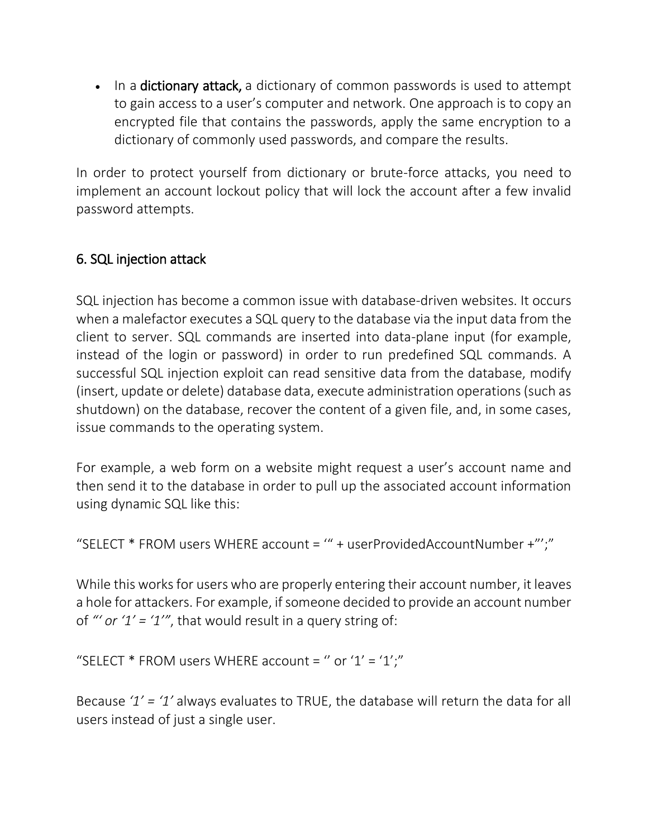• In a dictionary attack, a dictionary of common passwords is used to attempt to gain access to a user's computer and network. One approach is to copy an encrypted file that contains the passwords, apply the same encryption to a dictionary of commonly used passwords, and compare the results.

In order to protect yourself from dictionary or brute-force attacks, you need to implement an account lockout policy that will lock the account after a few invalid password attempts.

# 6. SQL injection attack

SQL injection has become a common issue with database-driven websites. It occurs when a malefactor executes a SQL query to the database via the input data from the client to server. SQL commands are inserted into data-plane input (for example, instead of the login or password) in order to run predefined SQL commands. A successful SQL injection exploit can read sensitive data from the database, modify (insert, update or delete) database data, execute administration operations (such as shutdown) on the database, recover the content of a given file, and, in some cases, issue commands to the operating system.

For example, a web form on a website might request a user's account name and then send it to the database in order to pull up the associated account information using dynamic SQL like this:

"SELECT \* FROM users WHERE account = '" + userProvidedAccountNumber +"';"

While this works for users who are properly entering their account number, it leaves a hole for attackers. For example, if someone decided to provide an account number of *"' or '1' = '1'"*, that would result in a query string of:

```
"SELECT * FROM users WHERE account = " or '1' = '1';"
```
Because *'1' = '1'* always evaluates to TRUE, the database will return the data for all users instead of just a single user.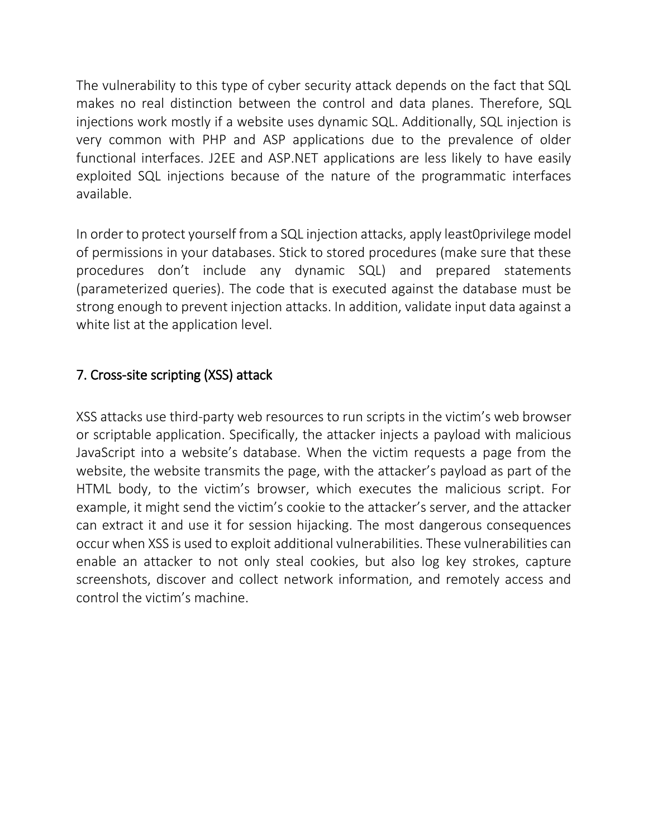The vulnerability to this type of cyber security attack depends on the fact that SQL makes no real distinction between the control and data planes. Therefore, SQL injections work mostly if a website uses dynamic SQL. Additionally, SQL injection is very common with PHP and ASP applications due to the prevalence of older functional interfaces. J2EE and ASP.NET applications are less likely to have easily exploited SQL injections because of the nature of the programmatic interfaces available.

In order to protect yourself from a SQL injection attacks, apply least0privilege model of permissions in your databases. Stick to stored procedures (make sure that these procedures don't include any dynamic SQL) and prepared statements (parameterized queries). The code that is executed against the database must be strong enough to prevent injection attacks. In addition, validate input data against a white list at the application level.

# 7. Cross-site scripting (XSS) attack

XSS attacks use third-party web resources to run scripts in the victim's web browser or scriptable application. Specifically, the attacker injects a payload with malicious JavaScript into a website's database. When the victim requests a page from the website, the website transmits the page, with the attacker's payload as part of the HTML body, to the victim's browser, which executes the malicious script. For example, it might send the victim's cookie to the attacker's server, and the attacker can extract it and use it for session hijacking. The most dangerous consequences occur when XSS is used to exploit additional vulnerabilities. These vulnerabilities can enable an attacker to not only steal cookies, but also log key strokes, capture screenshots, discover and collect network information, and remotely access and control the victim's machine.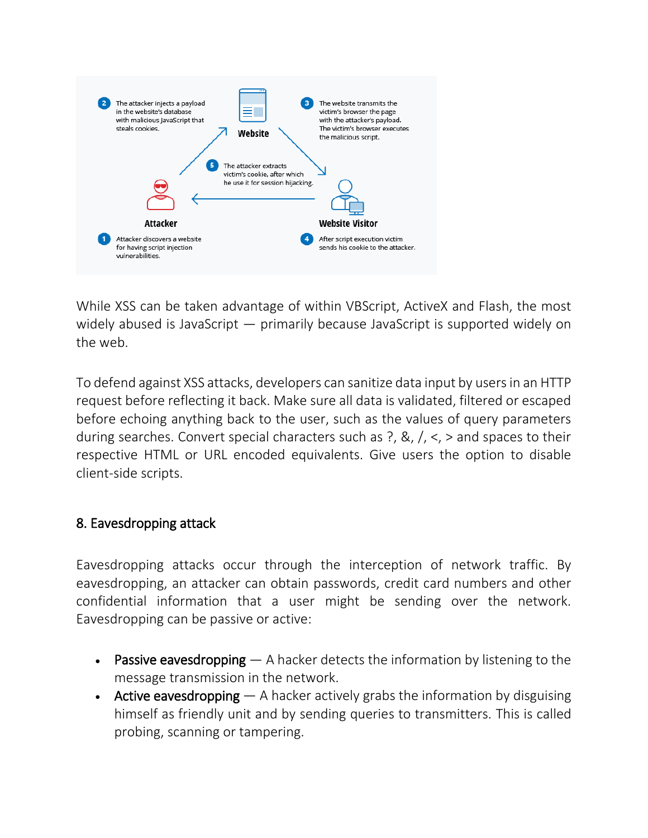

While XSS can be taken advantage of within VBScript, ActiveX and Flash, the most widely abused is JavaScript — primarily because JavaScript is supported widely on the web.

To defend against XSS attacks, developers can sanitize data input by users in an HTTP request before reflecting it back. Make sure all data is validated, filtered or escaped before echoing anything back to the user, such as the values of query parameters during searches. Convert special characters such as ?, &, /, <, > and spaces to their respective HTML or URL encoded equivalents. Give users the option to disable client-side scripts.

# 8. Eavesdropping attack

Eavesdropping attacks occur through the interception of network traffic. By eavesdropping, an attacker can obtain passwords, credit card numbers and other confidential information that a user might be sending over the network. Eavesdropping can be passive or active:

- **Passive eavesdropping**  $-$  A hacker detects the information by listening to the message transmission in the network.
- Active eavesdropping  $-$  A hacker actively grabs the information by disguising himself as friendly unit and by sending queries to transmitters. This is called probing, scanning or tampering.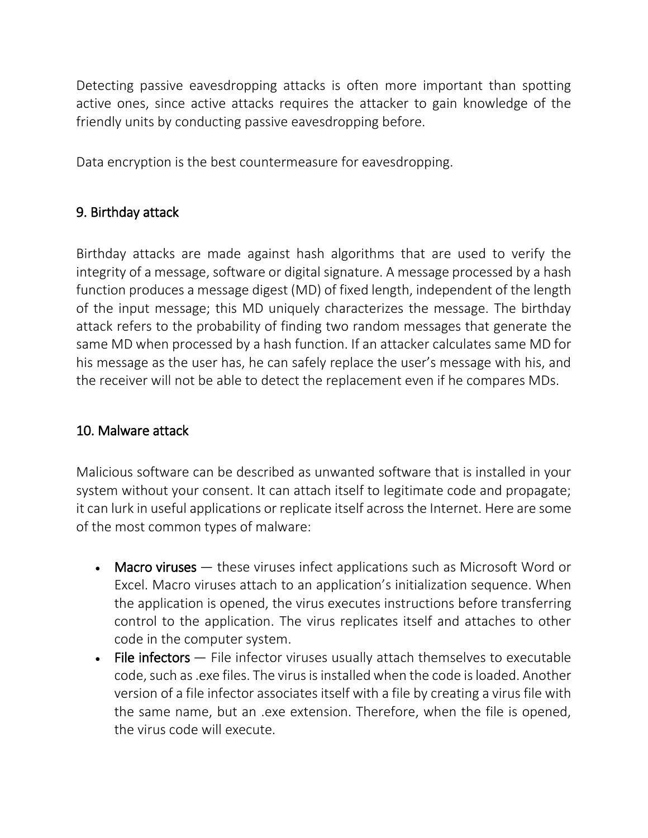Detecting passive eavesdropping attacks is often more important than spotting active ones, since active attacks requires the attacker to gain knowledge of the friendly units by conducting passive eavesdropping before.

Data encryption is the best countermeasure for eavesdropping.

# 9. Birthday attack

Birthday attacks are made against hash algorithms that are used to verify the integrity of a message, software or digital signature. A message processed by a hash function produces a message digest (MD) of fixed length, independent of the length of the input message; this MD uniquely characterizes the message. The birthday attack refers to the probability of finding two random messages that generate the same MD when processed by a hash function. If an attacker calculates same MD for his message as the user has, he can safely replace the user's message with his, and the receiver will not be able to detect the replacement even if he compares MDs.

# 10. Malware attack

Malicious software can be described as unwanted software that is installed in your system without your consent. It can attach itself to legitimate code and propagate; it can lurk in useful applications or replicate itself across the Internet. Here are some of the most common types of malware:

- Macro viruses these viruses infect applications such as Microsoft Word or Excel. Macro viruses attach to an application's initialization sequence. When the application is opened, the virus executes instructions before transferring control to the application. The virus replicates itself and attaches to other code in the computer system.
- **File infectors**  $-$  File infector viruses usually attach themselves to executable code, such as .exe files. The virus is installed when the code is loaded. Another version of a file infector associates itself with a file by creating a virus file with the same name, but an .exe extension. Therefore, when the file is opened, the virus code will execute.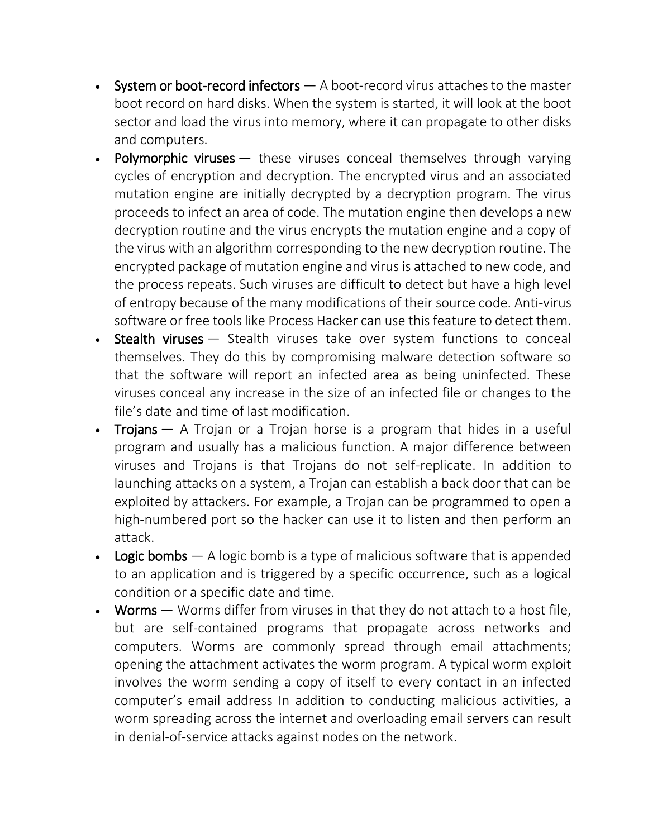- System or boot-record infectors  $-$  A boot-record virus attaches to the master boot record on hard disks. When the system is started, it will look at the boot sector and load the virus into memory, where it can propagate to other disks and computers.
- Polymorphic viruses these viruses conceal themselves through varying cycles of encryption and decryption. The encrypted virus and an associated mutation engine are initially decrypted by a decryption program. The virus proceeds to infect an area of code. The mutation engine then develops a new decryption routine and the virus encrypts the mutation engine and a copy of the virus with an algorithm corresponding to the new decryption routine. The encrypted package of mutation engine and virus is attached to new code, and the process repeats. Such viruses are difficult to detect but have a high level of entropy because of the many modifications of their source code. Anti-virus software or free tools like Process Hacker can use this feature to detect them.
- Stealth viruses Stealth viruses take over system functions to conceal themselves. They do this by compromising malware detection software so that the software will report an infected area as being uninfected. These viruses conceal any increase in the size of an infected file or changes to the file's date and time of last modification.
- Trojans  $-$  A Trojan or a Trojan horse is a program that hides in a useful program and usually has a malicious function. A major difference between viruses and Trojans is that Trojans do not self-replicate. In addition to launching attacks on a system, a Trojan can establish a back door that can be exploited by attackers. For example, a Trojan can be programmed to open a high-numbered port so the hacker can use it to listen and then perform an attack.
- **Logic bombs**  $-$  A logic bomb is a type of malicious software that is appended to an application and is triggered by a specific occurrence, such as a logical condition or a specific date and time.
- Worms  $-$  Worms differ from viruses in that they do not attach to a host file, but are self-contained programs that propagate across networks and computers. Worms are commonly spread through email attachments; opening the attachment activates the worm program. A typical worm exploit involves the worm sending a copy of itself to every contact in an infected computer's email address In addition to conducting malicious activities, a worm spreading across the internet and overloading email servers can result in denial-of-service attacks against nodes on the network.